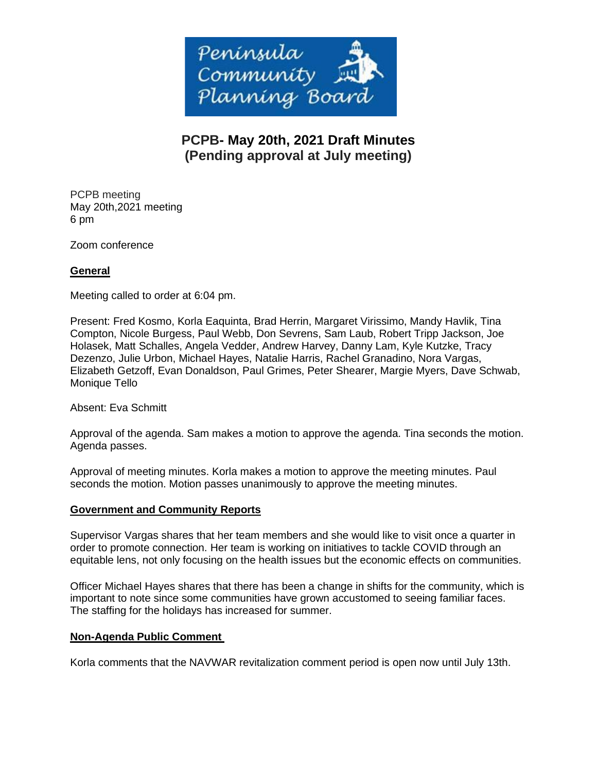

# **PCPB- May 20th, 2021 Draft Minutes (Pending approval at July meeting)**

PCPB meeting May 20th,2021 meeting 6 pm

Zoom conference

# **General**

Meeting called to order at 6:04 pm.

Present: Fred Kosmo, Korla Eaquinta, Brad Herrin, Margaret Virissimo, Mandy Havlik, Tina Compton, Nicole Burgess, Paul Webb, Don Sevrens, Sam Laub, Robert Tripp Jackson, Joe Holasek, Matt Schalles, Angela Vedder, Andrew Harvey, Danny Lam, Kyle Kutzke, Tracy Dezenzo, Julie Urbon, Michael Hayes, Natalie Harris, Rachel Granadino, Nora Vargas, Elizabeth Getzoff, Evan Donaldson, Paul Grimes, Peter Shearer, Margie Myers, Dave Schwab, Monique Tello

Absent: Eva Schmitt

Approval of the agenda. Sam makes a motion to approve the agenda. Tina seconds the motion. Agenda passes.

Approval of meeting minutes. Korla makes a motion to approve the meeting minutes. Paul seconds the motion. Motion passes unanimously to approve the meeting minutes.

## **Government and Community Reports**

Supervisor Vargas shares that her team members and she would like to visit once a quarter in order to promote connection. Her team is working on initiatives to tackle COVID through an equitable lens, not only focusing on the health issues but the economic effects on communities.

Officer Michael Hayes shares that there has been a change in shifts for the community, which is important to note since some communities have grown accustomed to seeing familiar faces. The staffing for the holidays has increased for summer.

## **Non-Agenda Public Comment**

Korla comments that the NAVWAR revitalization comment period is open now until July 13th.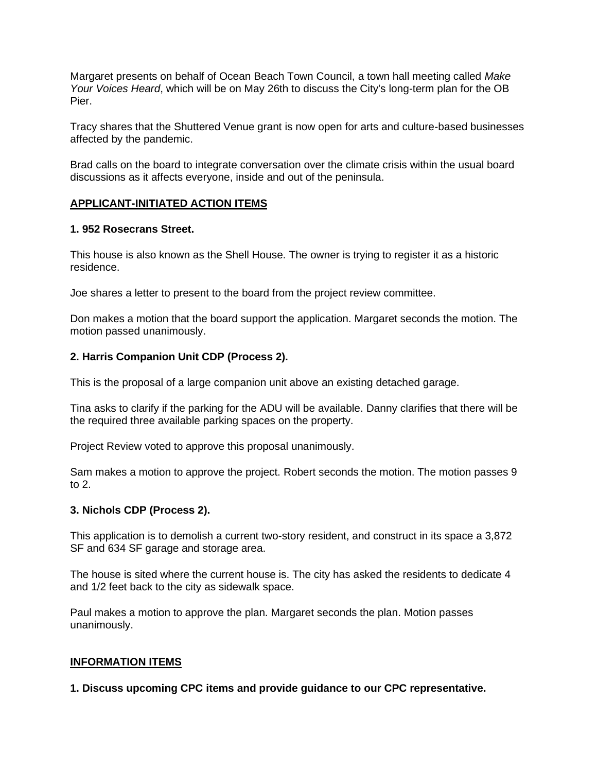Margaret presents on behalf of Ocean Beach Town Council, a town hall meeting called *Make Your Voices Heard*, which will be on May 26th to discuss the City's long-term plan for the OB Pier.

Tracy shares that the Shuttered Venue grant is now open for arts and culture-based businesses affected by the pandemic.

Brad calls on the board to integrate conversation over the climate crisis within the usual board discussions as it affects everyone, inside and out of the peninsula.

## **APPLICANT-INITIATED ACTION ITEMS**

#### **1. 952 Rosecrans Street.**

This house is also known as the Shell House. The owner is trying to register it as a historic residence.

Joe shares a letter to present to the board from the project review committee.

Don makes a motion that the board support the application. Margaret seconds the motion. The motion passed unanimously.

#### **2. Harris Companion Unit CDP (Process 2).**

This is the proposal of a large companion unit above an existing detached garage.

Tina asks to clarify if the parking for the ADU will be available. Danny clarifies that there will be the required three available parking spaces on the property.

Project Review voted to approve this proposal unanimously.

Sam makes a motion to approve the project. Robert seconds the motion. The motion passes 9 to 2.

#### **3. Nichols CDP (Process 2).**

This application is to demolish a current two-story resident, and construct in its space a 3,872 SF and 634 SF garage and storage area.

The house is sited where the current house is. The city has asked the residents to dedicate 4 and 1/2 feet back to the city as sidewalk space.

Paul makes a motion to approve the plan. Margaret seconds the plan. Motion passes unanimously.

#### **INFORMATION ITEMS**

**1. Discuss upcoming CPC items and provide guidance to our CPC representative.**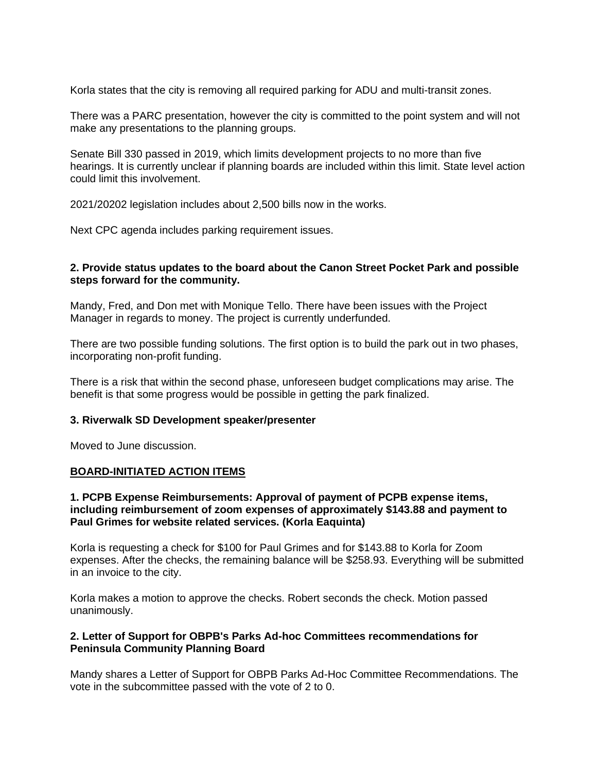Korla states that the city is removing all required parking for ADU and multi-transit zones.

There was a PARC presentation, however the city is committed to the point system and will not make any presentations to the planning groups.

Senate Bill 330 passed in 2019, which limits development projects to no more than five hearings. It is currently unclear if planning boards are included within this limit. State level action could limit this involvement.

2021/20202 legislation includes about 2,500 bills now in the works.

Next CPC agenda includes parking requirement issues.

## **2. Provide status updates to the board about the Canon Street Pocket Park and possible steps forward for the community.**

Mandy, Fred, and Don met with Monique Tello. There have been issues with the Project Manager in regards to money. The project is currently underfunded.

There are two possible funding solutions. The first option is to build the park out in two phases, incorporating non-profit funding.

There is a risk that within the second phase, unforeseen budget complications may arise. The benefit is that some progress would be possible in getting the park finalized.

#### **3. Riverwalk SD Development speaker/presenter**

Moved to June discussion.

## **BOARD-INITIATED ACTION ITEMS**

### **1. PCPB Expense Reimbursements: Approval of payment of PCPB expense items, including reimbursement of zoom expenses of approximately \$143.88 and payment to Paul Grimes for website related services. (Korla Eaquinta)**

Korla is requesting a check for \$100 for Paul Grimes and for \$143.88 to Korla for Zoom expenses. After the checks, the remaining balance will be \$258.93. Everything will be submitted in an invoice to the city.

Korla makes a motion to approve the checks. Robert seconds the check. Motion passed unanimously.

## **2. Letter of Support for OBPB's Parks Ad-hoc Committees recommendations for Peninsula Community Planning Board**

Mandy shares a Letter of Support for OBPB Parks Ad-Hoc Committee Recommendations. The vote in the subcommittee passed with the vote of 2 to 0.